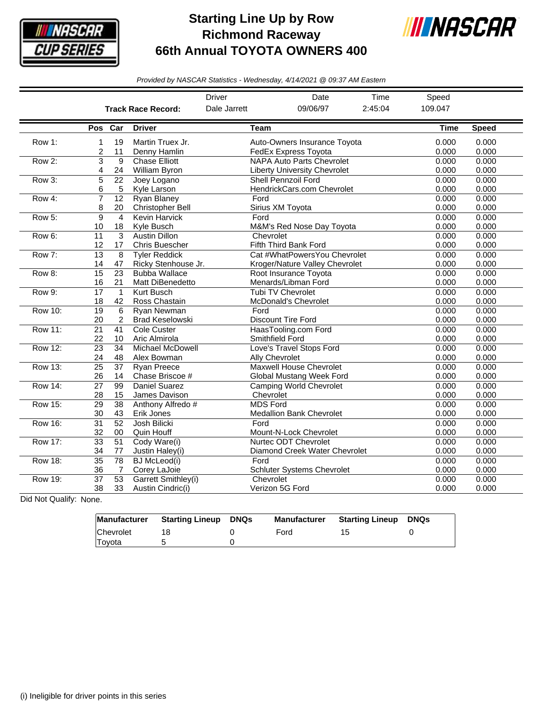

## **Starting Line Up by Row Richmond Raceway 66th Annual TOYOTA OWNERS 400**



*Provided by NASCAR Statistics - Wednesday, 4/14/2021 @ 09:37 AM Eastern*

|                |                       |                       |                                               | <b>Driver</b><br>Date<br>Time |                                                                         |                | Speed          |                |
|----------------|-----------------------|-----------------------|-----------------------------------------------|-------------------------------|-------------------------------------------------------------------------|----------------|----------------|----------------|
|                |                       |                       | <b>Track Race Record:</b>                     | Dale Jarrett                  | 09/06/97                                                                | 2:45:04        | 109.047        |                |
|                | Pos Car               |                       | <b>Driver</b>                                 | <b>Team</b>                   |                                                                         |                | <b>Time</b>    | <b>Speed</b>   |
| Row 1:         | 1<br>2                | 19<br>11              | Martin Truex Jr.<br>Denny Hamlin              |                               | Auto-Owners Insurance Toyota<br><b>FedEx Express Toyota</b>             | 0.000<br>0.000 | 0.000<br>0.000 |                |
| Row 2:         | 3<br>4                | $\overline{9}$<br>24  | <b>Chase Elliott</b><br><b>William Byron</b>  |                               | <b>NAPA Auto Parts Chevrolet</b><br><b>Liberty University Chevrolet</b> | 0.000<br>0.000 | 0.000<br>0.000 |                |
| Row 3:         | 5<br>6                | $\overline{22}$<br>5  | Joey Logano<br>Kyle Larson                    |                               | <b>Shell Pennzoil Ford</b><br>HendrickCars.com Chevrolet                | 0.000<br>0.000 | 0.000<br>0.000 |                |
| Row 4:         | 7<br>8                | $\overline{12}$<br>20 | <b>Ryan Blaney</b><br>Christopher Bell        | Ford                          | Sirius XM Toyota                                                        | 0.000<br>0.000 | 0.000<br>0.000 |                |
| Row 5:         | 9<br>10               | $\overline{4}$<br>18  | <b>Kevin Harvick</b><br>Kyle Busch            | Ford                          | M&M's Red Nose Day Toyota                                               | 0.000<br>0.000 | 0.000<br>0.000 |                |
| Row 6:         | 11<br>12              | 3<br>17               | <b>Austin Dillon</b><br><b>Chris Buescher</b> | Chevrolet                     | Fifth Third Bank Ford                                                   | 0.000<br>0.000 | 0.000<br>0.000 |                |
| Row 7:         | $\overline{13}$<br>14 | 8<br>47               | <b>Tyler Reddick</b><br>Ricky Stenhouse Jr.   |                               | Cat #WhatPowersYou Chevrolet<br>Kroger/Nature Valley Chevrolet          |                | 0.000<br>0.000 | 0.000<br>0.000 |
| Row 8:         | 15<br>16              | 23<br>21              | <b>Bubba Wallace</b><br>Matt DiBenedetto      |                               | Root Insurance Toyota<br>Menards/Libman Ford                            |                | 0.000<br>0.000 | 0.000<br>0.000 |
| Row 9:         | $\overline{17}$<br>18 | $\mathbf{1}$<br>42    | Kurt Busch<br>Ross Chastain                   |                               | Tubi TV Chevrolet<br><b>McDonald's Chevrolet</b>                        |                | 0.000<br>0.000 | 0.000<br>0.000 |
| <b>Row 10:</b> | $\overline{19}$<br>20 | 6<br>$\overline{2}$   | <b>Ryan Newman</b><br><b>Brad Keselowski</b>  | Ford                          | <b>Discount Tire Ford</b>                                               | 0.000<br>0.000 | 0.000<br>0.000 |                |
| <b>Row 11:</b> | $\overline{21}$<br>22 | $\overline{41}$<br>10 | <b>Cole Custer</b><br>Aric Almirola           |                               | HaasTooling.com Ford<br>Smithfield Ford                                 | 0.000<br>0.000 | 0.000<br>0.000 |                |
| <b>Row 12:</b> | $\overline{23}$<br>24 | 34<br>48              | Michael McDowell<br>Alex Bowman               |                               | Love's Travel Stops Ford<br>Ally Chevrolet                              | 0.000<br>0.000 | 0.000<br>0.000 |                |
| Row 13:        | 25<br>26              | 37<br>14              | <b>Ryan Preece</b><br>Chase Briscoe #         |                               | <b>Maxwell House Chevrolet</b><br><b>Global Mustang Week Ford</b>       |                | 0.000<br>0.000 | 0.000<br>0.000 |
| <b>Row 14:</b> | $\overline{27}$<br>28 | 99<br>15              | <b>Daniel Suarez</b><br>James Davison         | Chevrolet                     | <b>Camping World Chevrolet</b>                                          |                | 0.000<br>0.000 | 0.000<br>0.000 |
| <b>Row 15:</b> | 29<br>30              | 38<br>43              | Anthony Alfredo#<br>Erik Jones                | <b>MDS Ford</b>               | <b>Medallion Bank Chevrolet</b>                                         |                | 0.000<br>0.000 | 0.000<br>0.000 |
| <b>Row 16:</b> | $\overline{31}$<br>32 | $\overline{52}$<br>00 | Josh Bilicki<br>Quin Houff                    | Ford                          | Mount-N-Lock Chevrolet                                                  |                | 0.000<br>0.000 | 0.000<br>0.000 |
| <b>Row 17:</b> | $\overline{33}$<br>34 | 51<br>77              | Cody Ware(i)<br>Justin Haley(i)               |                               | Nurtec ODT Chevrolet<br>Diamond Creek Water Chevrolet                   |                | 0.000<br>0.000 | 0.000<br>0.000 |
| <b>Row 18:</b> | $\overline{35}$<br>36 | $\overline{78}$<br>7  | <b>BJ</b> McLeod(i)<br>Corey LaJoie           | Ford                          | Schluter Systems Chevrolet                                              |                | 0.000<br>0.000 | 0.000<br>0.000 |
| <b>Row 19:</b> | $\overline{37}$<br>38 | $\overline{53}$<br>33 | Garrett Smithley(i)<br>Austin Cindric(i)      | Chevrolet                     | Verizon 5G Ford                                                         |                | 0.000<br>0.000 | 0.000<br>0.000 |

Did Not Qualify: None.

|           | Manufacturer Starting Lineup | DNQs | Manufacturer | Starting Lineup | DNQs |
|-----------|------------------------------|------|--------------|-----------------|------|
| Chevrolet |                              |      | Ford         |                 |      |
| Toyota    |                              |      |              |                 |      |